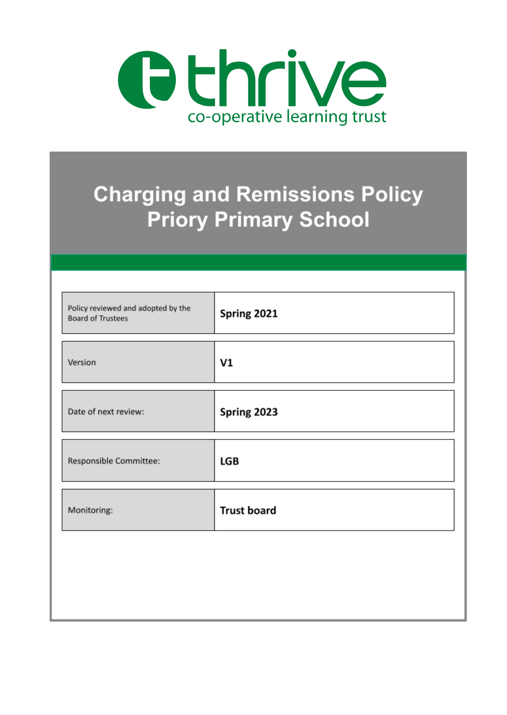

# **Charging and Remissions Policy Priory Primary School**

| Policy reviewed and adopted by the<br><b>Board of Trustees</b> | Spring 2021        |
|----------------------------------------------------------------|--------------------|
| Version                                                        | V1                 |
| Date of next review:                                           | Spring 2023        |
| Responsible Committee:                                         | LGB                |
| Monitoring:                                                    | <b>Trust board</b> |
|                                                                |                    |
|                                                                |                    |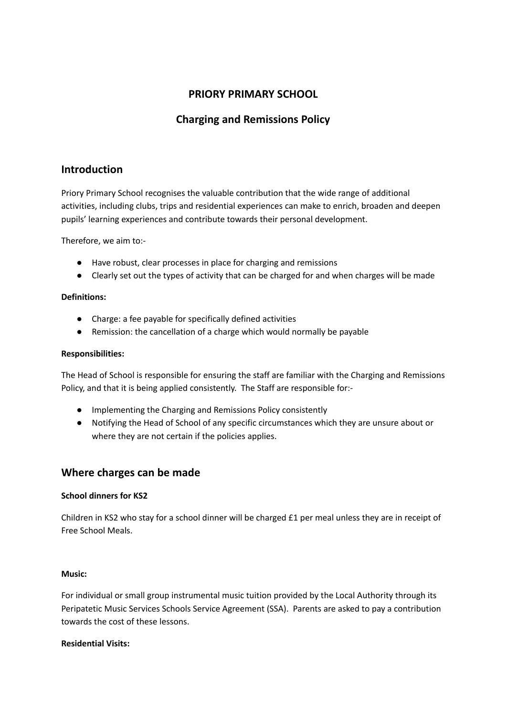# **PRIORY PRIMARY SCHOOL**

# **Charging and Remissions Policy**

## **Introduction**

Priory Primary School recognises the valuable contribution that the wide range of additional activities, including clubs, trips and residential experiences can make to enrich, broaden and deepen pupils' learning experiences and contribute towards their personal development.

Therefore, we aim to:-

- Have robust, clear processes in place for charging and remissions
- Clearly set out the types of activity that can be charged for and when charges will be made

#### **Definitions:**

- Charge: a fee payable for specifically defined activities
- Remission: the cancellation of a charge which would normally be payable

#### **Responsibilities:**

The Head of School is responsible for ensuring the staff are familiar with the Charging and Remissions Policy, and that it is being applied consistently. The Staff are responsible for:-

- Implementing the Charging and Remissions Policy consistently
- Notifying the Head of School of any specific circumstances which they are unsure about or where they are not certain if the policies applies.

## **Where charges can be made**

#### **School dinners for KS2**

Children in KS2 who stay for a school dinner will be charged £1 per meal unless they are in receipt of Free School Meals.

#### **Music:**

For individual or small group instrumental music tuition provided by the Local Authority through its Peripatetic Music Services Schools Service Agreement (SSA). Parents are asked to pay a contribution towards the cost of these lessons.

#### **Residential Visits:**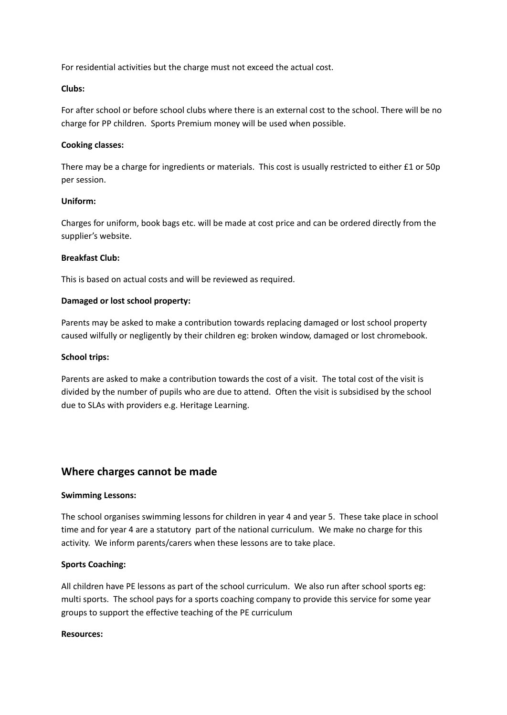For residential activities but the charge must not exceed the actual cost.

#### **Clubs:**

For after school or before school clubs where there is an external cost to the school. There will be no charge for PP children. Sports Premium money will be used when possible.

#### **Cooking classes:**

There may be a charge for ingredients or materials. This cost is usually restricted to either £1 or 50p per session.

#### **Uniform:**

Charges for uniform, book bags etc. will be made at cost price and can be ordered directly from the supplier's website.

#### **Breakfast Club:**

This is based on actual costs and will be reviewed as required.

#### **Damaged or lost school property:**

Parents may be asked to make a contribution towards replacing damaged or lost school property caused wilfully or negligently by their children eg: broken window, damaged or lost chromebook.

#### **School trips:**

Parents are asked to make a contribution towards the cost of a visit. The total cost of the visit is divided by the number of pupils who are due to attend. Often the visit is subsidised by the school due to SLAs with providers e.g. Heritage Learning.

### **Where charges cannot be made**

#### **Swimming Lessons:**

The school organises swimming lessons for children in year 4 and year 5. These take place in school time and for year 4 are a statutory part of the national curriculum. We make no charge for this activity. We inform parents/carers when these lessons are to take place.

#### **Sports Coaching:**

All children have PE lessons as part of the school curriculum. We also run after school sports eg: multi sports. The school pays for a sports coaching company to provide this service for some year groups to support the effective teaching of the PE curriculum

#### **Resources:**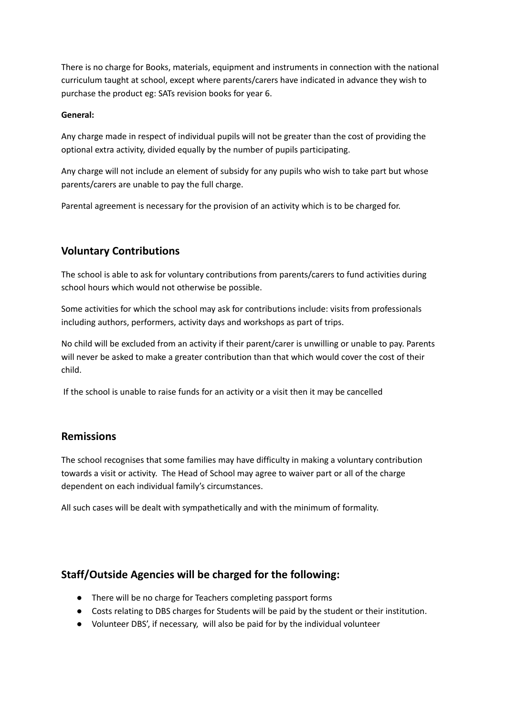There is no charge for Books, materials, equipment and instruments in connection with the national curriculum taught at school, except where parents/carers have indicated in advance they wish to purchase the product eg: SATs revision books for year 6.

#### **General:**

Any charge made in respect of individual pupils will not be greater than the cost of providing the optional extra activity, divided equally by the number of pupils participating.

Any charge will not include an element of subsidy for any pupils who wish to take part but whose parents/carers are unable to pay the full charge.

Parental agreement is necessary for the provision of an activity which is to be charged for.

# **Voluntary Contributions**

The school is able to ask for voluntary contributions from parents/carers to fund activities during school hours which would not otherwise be possible.

Some activities for which the school may ask for contributions include: visits from professionals including authors, performers, activity days and workshops as part of trips.

No child will be excluded from an activity if their parent/carer is unwilling or unable to pay. Parents will never be asked to make a greater contribution than that which would cover the cost of their child.

If the school is unable to raise funds for an activity or a visit then it may be cancelled

## **Remissions**

The school recognises that some families may have difficulty in making a voluntary contribution towards a visit or activity. The Head of School may agree to waiver part or all of the charge dependent on each individual family's circumstances.

All such cases will be dealt with sympathetically and with the minimum of formality.

## **Staff/Outside Agencies will be charged for the following:**

- There will be no charge for Teachers completing passport forms
- Costs relating to DBS charges for Students will be paid by the student or their institution.
- Volunteer DBS', if necessary, will also be paid for by the individual volunteer